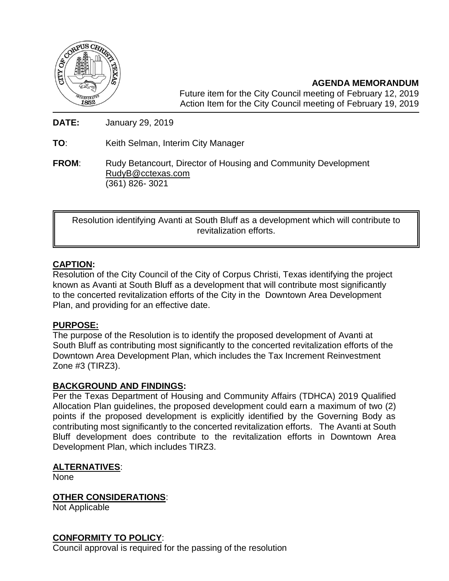

**AGENDA MEMORANDUM** Future item for the City Council meeting of February 12, 2019 Action Item for the City Council meeting of February 19, 2019

**DATE:** January 29, 2019

**TO**: Keith Selman, Interim City Manager

**FROM:** Rudy Betancourt, Director of Housing and Community Development [RudyB@cctexas.com](mailto:RudyB@cctexas.com) (361) 826- 3021

Resolution identifying Avanti at South Bluff as a development which will contribute to revitalization efforts.

# **CAPTION:**

Resolution of the City Council of the City of Corpus Christi, Texas identifying the project known as Avanti at South Bluff as a development that will contribute most significantly to the concerted revitalization efforts of the City in the Downtown Area Development Plan, and providing for an effective date.

### **PURPOSE:**

The purpose of the Resolution is to identify the proposed development of Avanti at South Bluff as contributing most significantly to the concerted revitalization efforts of the Downtown Area Development Plan, which includes the Tax Increment Reinvestment Zone #3 (TIRZ3).

### **BACKGROUND AND FINDINGS:**

Per the Texas Department of Housing and Community Affairs (TDHCA) 2019 Qualified Allocation Plan guidelines, the proposed development could earn a maximum of two (2) points if the proposed development is explicitly identified by the Governing Body as contributing most significantly to the concerted revitalization efforts. The Avanti at South Bluff development does contribute to the revitalization efforts in Downtown Area Development Plan, which includes TIRZ3.

#### **ALTERNATIVES**:

None

### **OTHER CONSIDERATIONS**:

Not Applicable

### **CONFORMITY TO POLICY**:

Council approval is required for the passing of the resolution